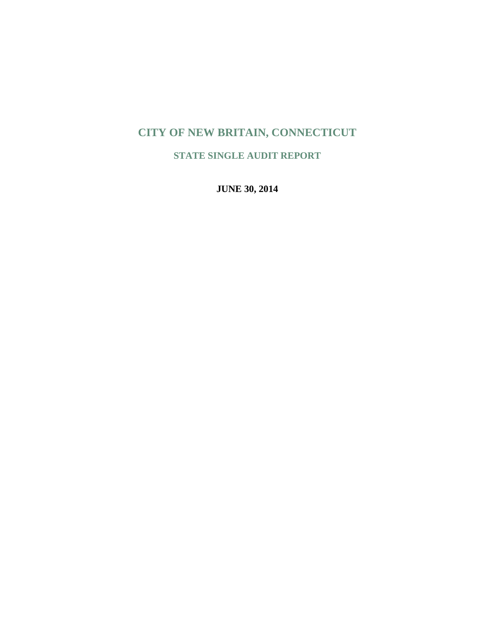# **CITY OF NEW BRITAIN, CONNECTICUT**

**STATE SINGLE AUDIT REPORT** 

**JUNE 30, 2014**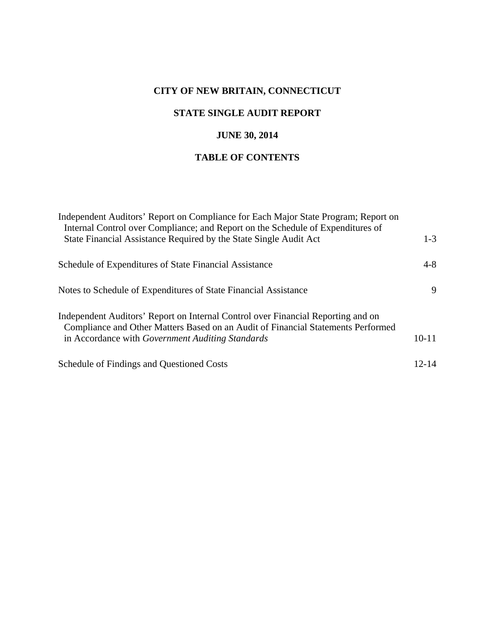# **CITY OF NEW BRITAIN, CONNECTICUT**

## **STATE SINGLE AUDIT REPORT**

# **JUNE 30, 2014**

## **TABLE OF CONTENTS**

| Independent Auditors' Report on Compliance for Each Major State Program; Report on<br>Internal Control over Compliance; and Report on the Schedule of Expenditures of                                                    |           |
|--------------------------------------------------------------------------------------------------------------------------------------------------------------------------------------------------------------------------|-----------|
| State Financial Assistance Required by the State Single Audit Act                                                                                                                                                        | $1 - 3$   |
| Schedule of Expenditures of State Financial Assistance                                                                                                                                                                   | $4 - 8$   |
| Notes to Schedule of Expenditures of State Financial Assistance                                                                                                                                                          | 9         |
| Independent Auditors' Report on Internal Control over Financial Reporting and on<br>Compliance and Other Matters Based on an Audit of Financial Statements Performed<br>in Accordance with Government Auditing Standards | $10 - 11$ |
| Schedule of Findings and Questioned Costs                                                                                                                                                                                | $12 - 14$ |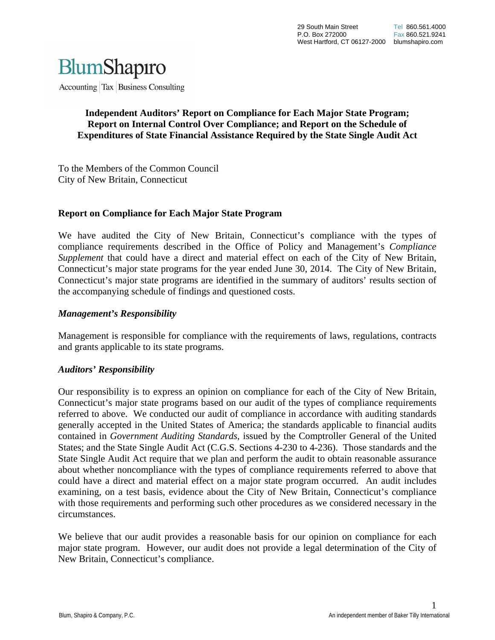

Accounting Tax Business Consulting

#### **Independent Auditors' Report on Compliance for Each Major State Program; Report on Internal Control Over Compliance; and Report on the Schedule of Expenditures of State Financial Assistance Required by the State Single Audit Act**

To the Members of the Common Council City of New Britain, Connecticut

#### **Report on Compliance for Each Major State Program**

We have audited the City of New Britain, Connecticut's compliance with the types of compliance requirements described in the Office of Policy and Management's *Compliance Supplement* that could have a direct and material effect on each of the City of New Britain, Connecticut's major state programs for the year ended June 30, 2014. The City of New Britain, Connecticut's major state programs are identified in the summary of auditors' results section of the accompanying schedule of findings and questioned costs.

#### *Management's Responsibility*

Management is responsible for compliance with the requirements of laws, regulations, contracts and grants applicable to its state programs.

#### *Auditors' Responsibility*

Our responsibility is to express an opinion on compliance for each of the City of New Britain, Connecticut's major state programs based on our audit of the types of compliance requirements referred to above. We conducted our audit of compliance in accordance with auditing standards generally accepted in the United States of America; the standards applicable to financial audits contained in *Government Auditing Standards*, issued by the Comptroller General of the United States; and the State Single Audit Act (C.G.S. Sections 4-230 to 4-236). Those standards and the State Single Audit Act require that we plan and perform the audit to obtain reasonable assurance about whether noncompliance with the types of compliance requirements referred to above that could have a direct and material effect on a major state program occurred. An audit includes examining, on a test basis, evidence about the City of New Britain, Connecticut's compliance with those requirements and performing such other procedures as we considered necessary in the circumstances.

We believe that our audit provides a reasonable basis for our opinion on compliance for each major state program. However, our audit does not provide a legal determination of the City of New Britain, Connecticut's compliance.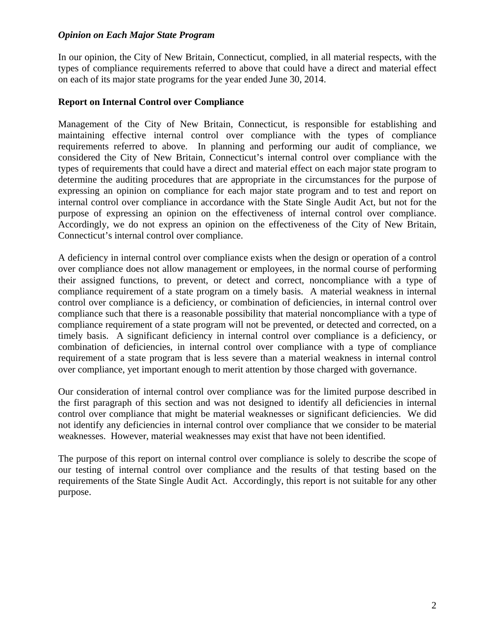#### *Opinion on Each Major State Program*

In our opinion, the City of New Britain, Connecticut, complied, in all material respects, with the types of compliance requirements referred to above that could have a direct and material effect on each of its major state programs for the year ended June 30, 2014.

#### **Report on Internal Control over Compliance**

Management of the City of New Britain, Connecticut, is responsible for establishing and maintaining effective internal control over compliance with the types of compliance requirements referred to above. In planning and performing our audit of compliance, we considered the City of New Britain, Connecticut's internal control over compliance with the types of requirements that could have a direct and material effect on each major state program to determine the auditing procedures that are appropriate in the circumstances for the purpose of expressing an opinion on compliance for each major state program and to test and report on internal control over compliance in accordance with the State Single Audit Act, but not for the purpose of expressing an opinion on the effectiveness of internal control over compliance. Accordingly, we do not express an opinion on the effectiveness of the City of New Britain, Connecticut's internal control over compliance.

A deficiency in internal control over compliance exists when the design or operation of a control over compliance does not allow management or employees, in the normal course of performing their assigned functions, to prevent, or detect and correct, noncompliance with a type of compliance requirement of a state program on a timely basis. A material weakness in internal control over compliance is a deficiency, or combination of deficiencies, in internal control over compliance such that there is a reasonable possibility that material noncompliance with a type of compliance requirement of a state program will not be prevented, or detected and corrected, on a timely basis. A significant deficiency in internal control over compliance is a deficiency, or combination of deficiencies, in internal control over compliance with a type of compliance requirement of a state program that is less severe than a material weakness in internal control over compliance, yet important enough to merit attention by those charged with governance.

Our consideration of internal control over compliance was for the limited purpose described in the first paragraph of this section and was not designed to identify all deficiencies in internal control over compliance that might be material weaknesses or significant deficiencies. We did not identify any deficiencies in internal control over compliance that we consider to be material weaknesses. However, material weaknesses may exist that have not been identified.

The purpose of this report on internal control over compliance is solely to describe the scope of our testing of internal control over compliance and the results of that testing based on the requirements of the State Single Audit Act. Accordingly, this report is not suitable for any other purpose.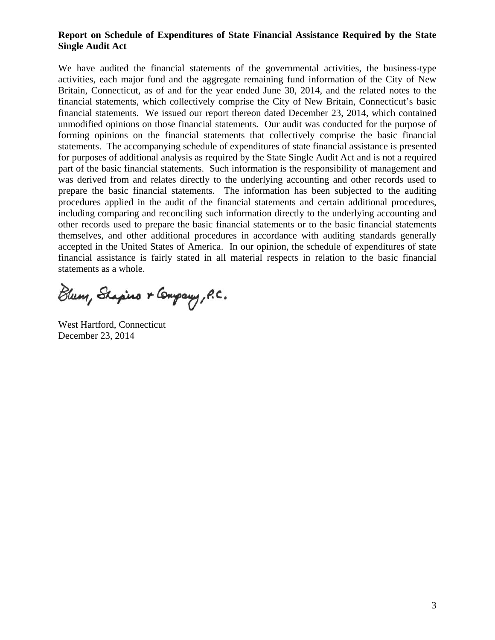#### **Report on Schedule of Expenditures of State Financial Assistance Required by the State Single Audit Act**

We have audited the financial statements of the governmental activities, the business-type activities, each major fund and the aggregate remaining fund information of the City of New Britain, Connecticut, as of and for the year ended June 30, 2014, and the related notes to the financial statements, which collectively comprise the City of New Britain, Connecticut's basic financial statements. We issued our report thereon dated December 23, 2014, which contained unmodified opinions on those financial statements. Our audit was conducted for the purpose of forming opinions on the financial statements that collectively comprise the basic financial statements. The accompanying schedule of expenditures of state financial assistance is presented for purposes of additional analysis as required by the State Single Audit Act and is not a required part of the basic financial statements. Such information is the responsibility of management and was derived from and relates directly to the underlying accounting and other records used to prepare the basic financial statements. The information has been subjected to the auditing procedures applied in the audit of the financial statements and certain additional procedures, including comparing and reconciling such information directly to the underlying accounting and other records used to prepare the basic financial statements or to the basic financial statements themselves, and other additional procedures in accordance with auditing standards generally accepted in the United States of America. In our opinion, the schedule of expenditures of state financial assistance is fairly stated in all material respects in relation to the basic financial statements as a whole.

Blum, Shapino & Company, P.C.

West Hartford, Connecticut December 23, 2014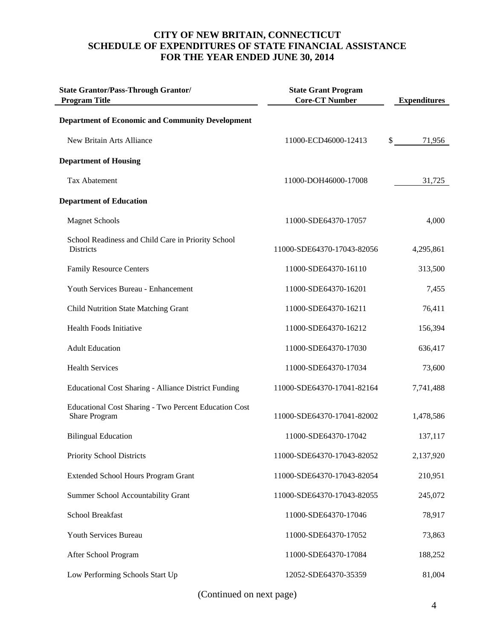$\overline{a}$ 

| <b>State Grantor/Pass-Through Grantor/</b><br><b>Program Title</b>            | <b>State Grant Program</b><br><b>Core-CT Number</b> | <b>Expenditures</b> |
|-------------------------------------------------------------------------------|-----------------------------------------------------|---------------------|
| <b>Department of Economic and Community Development</b>                       |                                                     |                     |
| New Britain Arts Alliance                                                     | 11000-ECD46000-12413                                | \$<br>71,956        |
| <b>Department of Housing</b>                                                  |                                                     |                     |
| Tax Abatement                                                                 | 11000-DOH46000-17008                                | 31,725              |
| <b>Department of Education</b>                                                |                                                     |                     |
| <b>Magnet Schools</b>                                                         | 11000-SDE64370-17057                                | 4,000               |
| School Readiness and Child Care in Priority School<br><b>Districts</b>        | 11000-SDE64370-17043-82056                          | 4,295,861           |
| <b>Family Resource Centers</b>                                                | 11000-SDE64370-16110                                | 313,500             |
| Youth Services Bureau - Enhancement                                           | 11000-SDE64370-16201                                | 7,455               |
| Child Nutrition State Matching Grant                                          | 11000-SDE64370-16211                                | 76,411              |
| <b>Health Foods Initiative</b>                                                | 11000-SDE64370-16212                                | 156,394             |
| <b>Adult Education</b>                                                        | 11000-SDE64370-17030                                | 636,417             |
| <b>Health Services</b>                                                        | 11000-SDE64370-17034                                | 73,600              |
| <b>Educational Cost Sharing - Alliance District Funding</b>                   | 11000-SDE64370-17041-82164                          | 7,741,488           |
| <b>Educational Cost Sharing - Two Percent Education Cost</b><br>Share Program | 11000-SDE64370-17041-82002                          | 1,478,586           |
| <b>Bilingual Education</b>                                                    | 11000-SDE64370-17042                                | 137,117             |
| Priority School Districts                                                     | 11000-SDE64370-17043-82052                          | 2,137,920           |
| Extended School Hours Program Grant                                           | 11000-SDE64370-17043-82054                          | 210,951             |
| Summer School Accountability Grant                                            | 11000-SDE64370-17043-82055                          | 245,072             |
| School Breakfast                                                              | 11000-SDE64370-17046                                | 78,917              |
| Youth Services Bureau                                                         | 11000-SDE64370-17052                                | 73,863              |
| After School Program                                                          | 11000-SDE64370-17084                                | 188,252             |
| Low Performing Schools Start Up                                               | 12052-SDE64370-35359                                | 81,004              |

(Continued on next page)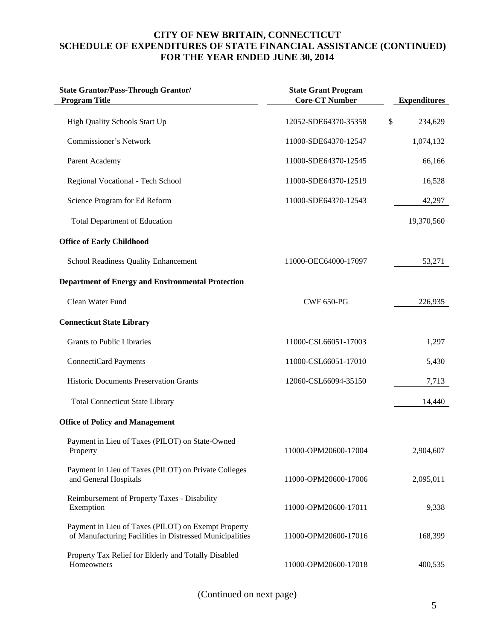| <b>State Grantor/Pass-Through Grantor/</b><br><b>Program Title</b>                                              | <b>State Grant Program</b><br><b>Core-CT Number</b> | <b>Expenditures</b> |
|-----------------------------------------------------------------------------------------------------------------|-----------------------------------------------------|---------------------|
| High Quality Schools Start Up                                                                                   | 12052-SDE64370-35358                                | \$<br>234,629       |
| Commissioner's Network                                                                                          | 11000-SDE64370-12547                                | 1,074,132           |
| Parent Academy                                                                                                  | 11000-SDE64370-12545                                | 66,166              |
| Regional Vocational - Tech School                                                                               | 11000-SDE64370-12519                                | 16,528              |
| Science Program for Ed Reform                                                                                   | 11000-SDE64370-12543                                | 42,297              |
| <b>Total Department of Education</b>                                                                            |                                                     | 19,370,560          |
| <b>Office of Early Childhood</b>                                                                                |                                                     |                     |
| School Readiness Quality Enhancement                                                                            | 11000-OEC64000-17097                                | 53,271              |
| <b>Department of Energy and Environmental Protection</b>                                                        |                                                     |                     |
| Clean Water Fund                                                                                                | <b>CWF 650-PG</b>                                   | 226,935             |
| <b>Connecticut State Library</b>                                                                                |                                                     |                     |
| <b>Grants to Public Libraries</b>                                                                               | 11000-CSL66051-17003                                | 1,297               |
| ConnectiCard Payments                                                                                           | 11000-CSL66051-17010                                | 5,430               |
| <b>Historic Documents Preservation Grants</b>                                                                   | 12060-CSL66094-35150                                | 7,713               |
| <b>Total Connecticut State Library</b>                                                                          |                                                     | 14,440              |
| <b>Office of Policy and Management</b>                                                                          |                                                     |                     |
| Payment in Lieu of Taxes (PILOT) on State-Owned<br>Property                                                     | 11000-OPM20600-17004                                | 2,904,607           |
| Payment in Lieu of Taxes (PILOT) on Private Colleges<br>and General Hospitals                                   | 11000-OPM20600-17006                                | 2,095,011           |
| Reimbursement of Property Taxes - Disability<br>Exemption                                                       | 11000-OPM20600-17011                                | 9,338               |
| Payment in Lieu of Taxes (PILOT) on Exempt Property<br>of Manufacturing Facilities in Distressed Municipalities | 11000-OPM20600-17016                                | 168,399             |
| Property Tax Relief for Elderly and Totally Disabled<br>Homeowners                                              | 11000-OPM20600-17018                                | 400,535             |

(Continued on next page)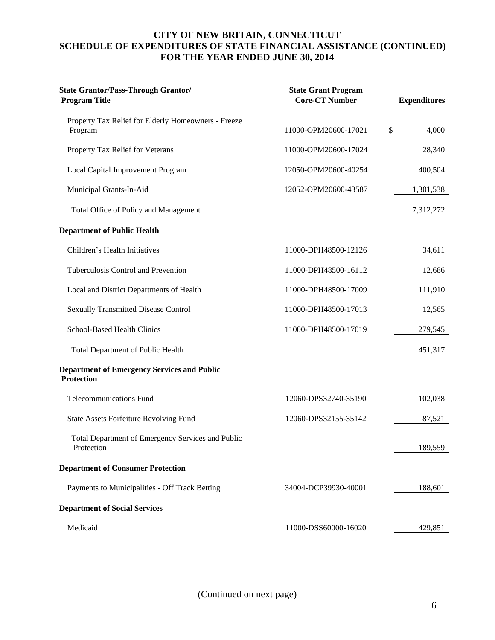| <b>State Grantor/Pass-Through Grantor/</b><br><b>Program Title</b>      | <b>State Grant Program</b><br><b>Core-CT Number</b> | <b>Expenditures</b> |  |
|-------------------------------------------------------------------------|-----------------------------------------------------|---------------------|--|
| Property Tax Relief for Elderly Homeowners - Freeze<br>Program          | 11000-OPM20600-17021                                | \$<br>4,000         |  |
| Property Tax Relief for Veterans                                        | 11000-OPM20600-17024                                | 28,340              |  |
| Local Capital Improvement Program                                       | 12050-OPM20600-40254                                | 400,504             |  |
| Municipal Grants-In-Aid                                                 | 12052-OPM20600-43587                                | 1,301,538           |  |
| Total Office of Policy and Management                                   |                                                     | 7,312,272           |  |
| <b>Department of Public Health</b>                                      |                                                     |                     |  |
| Children's Health Initiatives                                           | 11000-DPH48500-12126                                | 34,611              |  |
| Tuberculosis Control and Prevention                                     | 11000-DPH48500-16112                                | 12,686              |  |
| Local and District Departments of Health                                | 11000-DPH48500-17009                                | 111,910             |  |
| <b>Sexually Transmitted Disease Control</b>                             | 11000-DPH48500-17013                                | 12,565              |  |
| <b>School-Based Health Clinics</b>                                      | 11000-DPH48500-17019                                | 279,545             |  |
| Total Department of Public Health                                       |                                                     | 451,317             |  |
| <b>Department of Emergency Services and Public</b><br><b>Protection</b> |                                                     |                     |  |
| <b>Telecommunications Fund</b>                                          | 12060-DPS32740-35190                                | 102,038             |  |
| <b>State Assets Forfeiture Revolving Fund</b>                           | 12060-DPS32155-35142                                | 87,521              |  |
| Total Department of Emergency Services and Public<br>Protection         |                                                     | 189,559             |  |
| <b>Department of Consumer Protection</b>                                |                                                     |                     |  |
| Payments to Municipalities - Off Track Betting                          | 34004-DCP39930-40001                                | 188,601             |  |
| <b>Department of Social Services</b>                                    |                                                     |                     |  |
| Medicaid                                                                | 11000-DSS60000-16020                                | 429,851             |  |

(Continued on next page)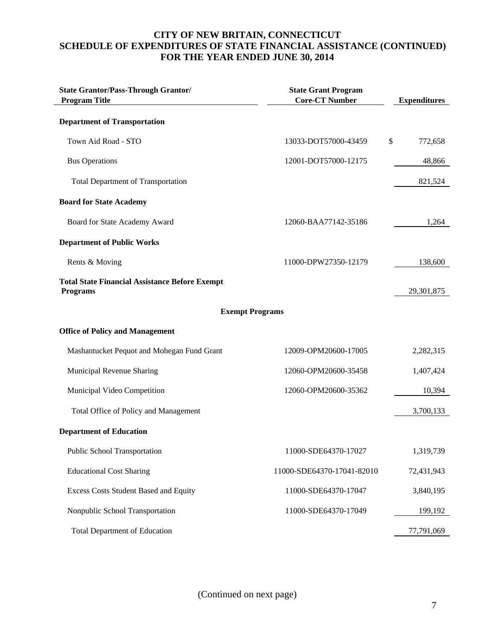| <b>State Grantor/Pass-Through Grantor/</b><br><b>Program Title</b>       | <b>State Grant Program</b><br><b>Core-CT Number</b> | <b>Expenditures</b> |
|--------------------------------------------------------------------------|-----------------------------------------------------|---------------------|
| <b>Department of Transportation</b>                                      |                                                     |                     |
| Town Aid Road - STO                                                      | 13033-DOT57000-43459                                | \$<br>772,658       |
| <b>Bus Operations</b>                                                    | 12001-DOT57000-12175                                | 48,866              |
| <b>Total Department of Transportation</b>                                |                                                     | 821,524             |
| <b>Board for State Academy</b>                                           |                                                     |                     |
| Board for State Academy Award                                            | 12060-BAA77142-35186                                | 1,264               |
| <b>Department of Public Works</b>                                        |                                                     |                     |
| Rents & Moving                                                           | 11000-DPW27350-12179                                | 138,600             |
| <b>Total State Financial Assistance Before Exempt</b><br><b>Programs</b> |                                                     | 29,301,875          |
|                                                                          | <b>Exempt Programs</b>                              |                     |
| <b>Office of Policy and Management</b>                                   |                                                     |                     |
| Mashantucket Pequot and Mohegan Fund Grant                               | 12009-OPM20600-17005                                | 2,282,315           |
| Municipal Revenue Sharing                                                | 12060-OPM20600-35458                                | 1,407,424           |
| Municipal Video Competition                                              | 12060-OPM20600-35362                                | 10,394              |
| Total Office of Policy and Management                                    |                                                     | 3,700,133           |
| <b>Department of Education</b>                                           |                                                     |                     |
| <b>Public School Transportation</b>                                      | 11000-SDE64370-17027                                | 1,319,739           |
| <b>Educational Cost Sharing</b>                                          | 11000-SDE64370-17041-82010                          | 72,431,943          |
| <b>Excess Costs Student Based and Equity</b>                             | 11000-SDE64370-17047                                | 3,840,195           |
| Nonpublic School Transportation                                          | 11000-SDE64370-17049                                | 199,192             |
| <b>Total Department of Education</b>                                     |                                                     | 77,791,069          |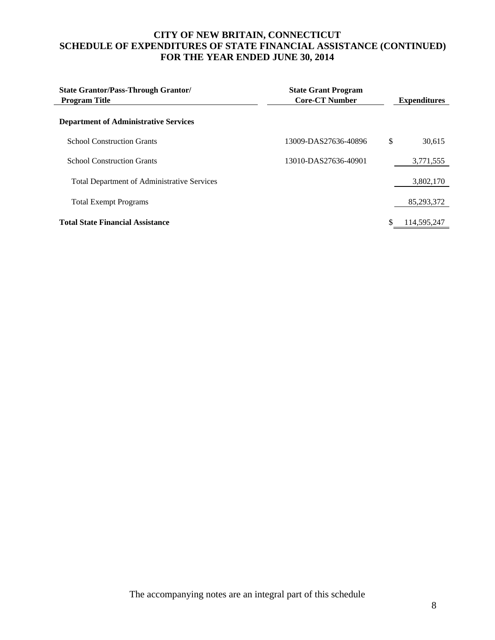| <b>State Grantor/Pass-Through Grantor/</b><br><b>Program Title</b> | <b>State Grant Program</b><br><b>Core-CT Number</b> |    | <b>Expenditures</b> |
|--------------------------------------------------------------------|-----------------------------------------------------|----|---------------------|
| <b>Department of Administrative Services</b>                       |                                                     |    |                     |
| <b>School Construction Grants</b>                                  | 13009-DAS27636-40896                                | \$ | 30,615              |
| <b>School Construction Grants</b>                                  | 13010-DAS27636-40901                                |    | 3,771,555           |
| <b>Total Department of Administrative Services</b>                 |                                                     |    | 3,802,170           |
| <b>Total Exempt Programs</b>                                       |                                                     |    | 85,293,372          |
| <b>Total State Financial Assistance</b>                            |                                                     | S  | 114,595,247         |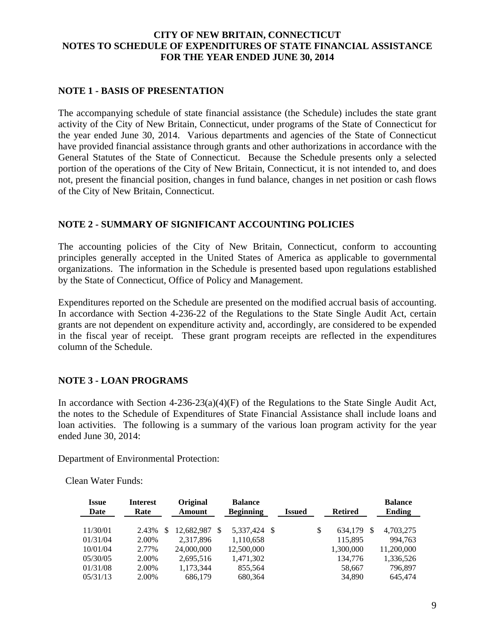#### **NOTE 1 - BASIS OF PRESENTATION**

The accompanying schedule of state financial assistance (the Schedule) includes the state grant activity of the City of New Britain, Connecticut, under programs of the State of Connecticut for the year ended June 30, 2014. Various departments and agencies of the State of Connecticut have provided financial assistance through grants and other authorizations in accordance with the General Statutes of the State of Connecticut. Because the Schedule presents only a selected portion of the operations of the City of New Britain, Connecticut, it is not intended to, and does not, present the financial position, changes in fund balance, changes in net position or cash flows of the City of New Britain, Connecticut.

#### **NOTE 2 - SUMMARY OF SIGNIFICANT ACCOUNTING POLICIES**

The accounting policies of the City of New Britain, Connecticut, conform to accounting principles generally accepted in the United States of America as applicable to governmental organizations. The information in the Schedule is presented based upon regulations established by the State of Connecticut, Office of Policy and Management.

Expenditures reported on the Schedule are presented on the modified accrual basis of accounting. In accordance with Section 4-236-22 of the Regulations to the State Single Audit Act, certain grants are not dependent on expenditure activity and, accordingly, are considered to be expended in the fiscal year of receipt. These grant program receipts are reflected in the expenditures column of the Schedule.

#### **NOTE 3 - LOAN PROGRAMS**

In accordance with Section  $4-236-23(a)(4)(F)$  of the Regulations to the State Single Audit Act, the notes to the Schedule of Expenditures of State Financial Assistance shall include loans and loan activities. The following is a summary of the various loan program activity for the year ended June 30, 2014:

Department of Environmental Protection:

Clean Water Funds:

| <b>Issue</b><br>Date | <b>Interest</b><br>Rate |   | Original<br>Amount | <b>Balance</b><br><b>Beginning</b> |     | <b>Issued</b> |   | <b>Retired</b> |   | <b>Balance</b><br>Ending |
|----------------------|-------------------------|---|--------------------|------------------------------------|-----|---------------|---|----------------|---|--------------------------|
|                      |                         |   |                    |                                    |     |               |   |                |   |                          |
| 11/30/01             | 2.43%                   | S | 12.682.987 \$      | 5.337.424                          | - S |               | S | 634.179        | S | 4,703,275                |
| 01/31/04             | 2.00%                   |   | 2,317,896          | 1,110,658                          |     |               |   | 115,895        |   | 994.763                  |
| 10/01/04             | 2.77%                   |   | 24,000,000         | 12,500,000                         |     |               |   | 1,300,000      |   | 11,200,000               |
| 05/30/05             | 2.00%                   |   | 2,695,516          | 1,471,302                          |     |               |   | 134,776        |   | 1,336,526                |
| 01/31/08             | 2.00%                   |   | 1,173,344          | 855,564                            |     |               |   | 58,667         |   | 796.897                  |
| 05/31/13             | 2.00%                   |   | 686,179            | 680,364                            |     |               |   | 34,890         |   | 645.474                  |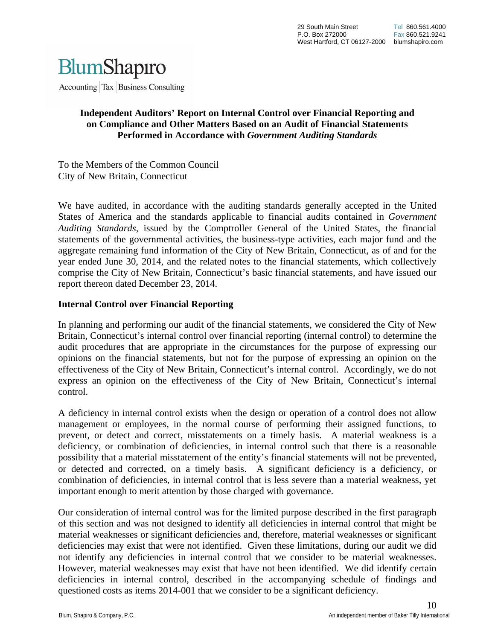

Accounting Tax Business Consulting

#### **Independent Auditors' Report on Internal Control over Financial Reporting and on Compliance and Other Matters Based on an Audit of Financial Statements Performed in Accordance with** *Government Auditing Standards*

To the Members of the Common Council City of New Britain, Connecticut

We have audited, in accordance with the auditing standards generally accepted in the United States of America and the standards applicable to financial audits contained in *Government Auditing Standards*, issued by the Comptroller General of the United States, the financial statements of the governmental activities, the business-type activities, each major fund and the aggregate remaining fund information of the City of New Britain, Connecticut, as of and for the year ended June 30, 2014, and the related notes to the financial statements, which collectively comprise the City of New Britain, Connecticut's basic financial statements, and have issued our report thereon dated December 23, 2014.

#### **Internal Control over Financial Reporting**

In planning and performing our audit of the financial statements, we considered the City of New Britain, Connecticut's internal control over financial reporting (internal control) to determine the audit procedures that are appropriate in the circumstances for the purpose of expressing our opinions on the financial statements, but not for the purpose of expressing an opinion on the effectiveness of the City of New Britain, Connecticut's internal control. Accordingly, we do not express an opinion on the effectiveness of the City of New Britain, Connecticut's internal control.

A deficiency in internal control exists when the design or operation of a control does not allow management or employees, in the normal course of performing their assigned functions, to prevent, or detect and correct, misstatements on a timely basis. A material weakness is a deficiency, or combination of deficiencies, in internal control such that there is a reasonable possibility that a material misstatement of the entity's financial statements will not be prevented, or detected and corrected, on a timely basis. A significant deficiency is a deficiency, or combination of deficiencies, in internal control that is less severe than a material weakness, yet important enough to merit attention by those charged with governance.

Our consideration of internal control was for the limited purpose described in the first paragraph of this section and was not designed to identify all deficiencies in internal control that might be material weaknesses or significant deficiencies and, therefore, material weaknesses or significant deficiencies may exist that were not identified. Given these limitations, during our audit we did not identify any deficiencies in internal control that we consider to be material weaknesses. However, material weaknesses may exist that have not been identified. We did identify certain deficiencies in internal control, described in the accompanying schedule of findings and questioned costs as items 2014-001 that we consider to be a significant deficiency.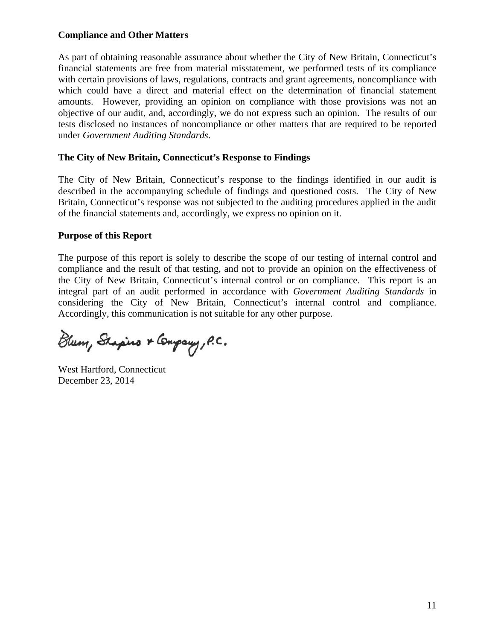#### **Compliance and Other Matters**

As part of obtaining reasonable assurance about whether the City of New Britain, Connecticut's financial statements are free from material misstatement, we performed tests of its compliance with certain provisions of laws, regulations, contracts and grant agreements, noncompliance with which could have a direct and material effect on the determination of financial statement amounts. However, providing an opinion on compliance with those provisions was not an objective of our audit, and, accordingly, we do not express such an opinion. The results of our tests disclosed no instances of noncompliance or other matters that are required to be reported under *Government Auditing Standards*.

#### **The City of New Britain, Connecticut's Response to Findings**

The City of New Britain, Connecticut's response to the findings identified in our audit is described in the accompanying schedule of findings and questioned costs. The City of New Britain, Connecticut's response was not subjected to the auditing procedures applied in the audit of the financial statements and, accordingly, we express no opinion on it.

#### **Purpose of this Report**

The purpose of this report is solely to describe the scope of our testing of internal control and compliance and the result of that testing, and not to provide an opinion on the effectiveness of the City of New Britain, Connecticut's internal control or on compliance. This report is an integral part of an audit performed in accordance with *Government Auditing Standards* in considering the City of New Britain, Connecticut's internal control and compliance. Accordingly, this communication is not suitable for any other purpose.

Blum, Shapino & Company, P.C.

West Hartford, Connecticut December 23, 2014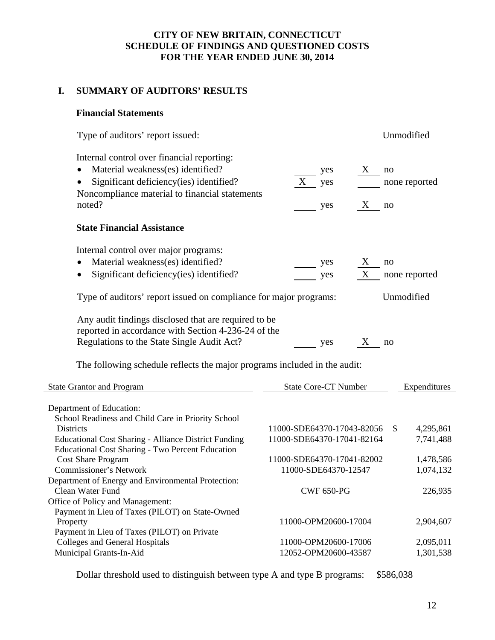#### **CITY OF NEW BRITAIN, CONNECTICUT SCHEDULE OF FINDINGS AND QUESTIONED COSTS FOR THE YEAR ENDED JUNE 30, 2014**

# **I. SUMMARY OF AUDITORS' RESULTS**

#### **Financial Statements**

| Type of auditors' report issued:                                                                                                                                                                                                                          | Unmodified                                                                                                                                    |  |
|-----------------------------------------------------------------------------------------------------------------------------------------------------------------------------------------------------------------------------------------------------------|-----------------------------------------------------------------------------------------------------------------------------------------------|--|
| Internal control over financial reporting:<br>Material weakness(es) identified?<br>Significant deficiency(ies) identified?<br>$\bullet$<br>Noncompliance material to financial statements<br>noted?                                                       | $\boldsymbol{\mathrm{X}}$<br>$\mathbf{no}$<br>yes<br>X<br>none reported<br>yes<br>X<br>yes<br>no                                              |  |
| <b>State Financial Assistance</b>                                                                                                                                                                                                                         |                                                                                                                                               |  |
| Internal control over major programs:<br>Material weakness(es) identified?<br>Significant deficiency(ies) identified?<br>٠<br>Type of auditors' report issued on compliance for major programs:                                                           | X<br>yes<br>no<br>X<br>none reported<br>yes<br>Unmodified                                                                                     |  |
| Any audit findings disclosed that are required to be<br>reported in accordance with Section 4-236-24 of the<br>Regulations to the State Single Audit Act?                                                                                                 | X<br>yes<br>no                                                                                                                                |  |
| The following schedule reflects the major programs included in the audit:<br><b>State Grantor and Program</b>                                                                                                                                             | <b>State Core-CT Number</b><br>Expenditures                                                                                                   |  |
| Department of Education:<br>School Readiness and Child Care in Priority School<br><b>Districts</b><br><b>Educational Cost Sharing - Alliance District Funding</b><br><b>Educational Cost Sharing - Two Percent Education</b><br><b>Cost Share Program</b> | 11000-SDE64370-17043-82056<br>4,295,861<br><sup>S</sup><br>11000-SDE64370-17041-82164<br>7,741,488<br>11000-SDE64370-17041-82002<br>1,478,586 |  |
| <b>Commissioner's Network</b><br>Department of Energy and Environmental Protection:                                                                                                                                                                       | 11000-SDE64370-12547<br>1,074,132                                                                                                             |  |
| Clean Water Fund<br>Office of Policy and Management:<br>Payment in Lieu of Taxes (PILOT) on State-Owned                                                                                                                                                   | <b>CWF 650-PG</b><br>226,935                                                                                                                  |  |
| Property<br>Payment in Lieu of Taxes (PILOT) on Private                                                                                                                                                                                                   | 11000-OPM20600-17004<br>2,904,607                                                                                                             |  |
| <b>Colleges and General Hospitals</b><br>Municipal Grants-In-Aid                                                                                                                                                                                          | 11000-OPM20600-17006<br>2,095,011<br>12052-OPM20600-43587<br>1,301,538                                                                        |  |

Dollar threshold used to distinguish between type A and type B programs: \$586,038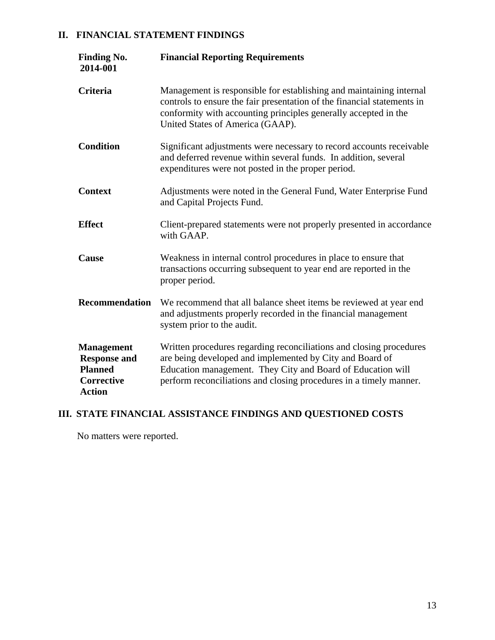### **II. FINANCIAL STATEMENT FINDINGS**

| <b>Finding No.</b><br>2014-001                                                            | <b>Financial Reporting Requirements</b>                                                                                                                                                                                                                              |
|-------------------------------------------------------------------------------------------|----------------------------------------------------------------------------------------------------------------------------------------------------------------------------------------------------------------------------------------------------------------------|
| <b>Criteria</b>                                                                           | Management is responsible for establishing and maintaining internal<br>controls to ensure the fair presentation of the financial statements in<br>conformity with accounting principles generally accepted in the<br>United States of America (GAAP).                |
| <b>Condition</b>                                                                          | Significant adjustments were necessary to record accounts receivable<br>and deferred revenue within several funds. In addition, several<br>expenditures were not posted in the proper period.                                                                        |
| <b>Context</b>                                                                            | Adjustments were noted in the General Fund, Water Enterprise Fund<br>and Capital Projects Fund.                                                                                                                                                                      |
| <b>Effect</b>                                                                             | Client-prepared statements were not properly presented in accordance<br>with GAAP.                                                                                                                                                                                   |
| Cause                                                                                     | Weakness in internal control procedures in place to ensure that<br>transactions occurring subsequent to year end are reported in the<br>proper period.                                                                                                               |
| <b>Recommendation</b>                                                                     | We recommend that all balance sheet items be reviewed at year end<br>and adjustments properly recorded in the financial management<br>system prior to the audit.                                                                                                     |
| <b>Management</b><br><b>Response and</b><br><b>Planned</b><br>Corrective<br><b>Action</b> | Written procedures regarding reconciliations and closing procedures<br>are being developed and implemented by City and Board of<br>Education management. They City and Board of Education will<br>perform reconciliations and closing procedures in a timely manner. |

# **III. STATE FINANCIAL ASSISTANCE FINDINGS AND QUESTIONED COSTS**

No matters were reported.